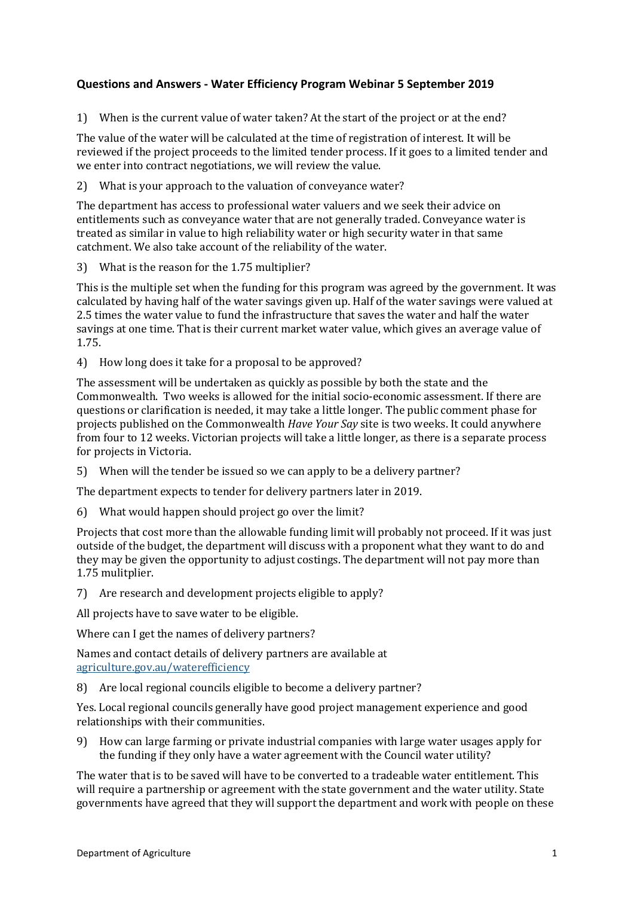1) When is the current value of water taken? At the start of the project or at the end?

The value of the water will be calculated at the time of registration of interest. It will be reviewed if the project proceeds to the limited tender process. If it goes to a limited tender and we enter into contract negotiations, we will review the value.

2) What is your approach to the valuation of conveyance water?

The department has access to professional water valuers and we seek their advice on entitlements such as conveyance water that are not generally traded. Conveyance water is treated as similar in value to high reliability water or high security water in that same catchment. We also take account of the reliability of the water.

3) What is the reason for the 1.75 multiplier?

This is the multiple set when the funding for this program was agreed by the government. It was calculated by having half of the water savings given up. Half of the water savings were valued at 2.5 times the water value to fund the infrastructure that saves the water and half the water savings at one time. That is their current market water value, which gives an average value of 1.75.

4) How long does it take for a proposal to be approved?

The assessment will be undertaken as quickly as possible by both the state and the Commonwealth. Two weeks is allowed for the initial socio-economic assessment. If there are questions or clarification is needed, it may take a little longer. The public comment phase for projects published on the Commonwealth *Have Your Say* site is two weeks. It could anywhere from four to 12 weeks. Victorian projects will take a little longer, as there is a separate process for projects in Victoria.

5) When will the tender be issued so we can apply to be a delivery partner?

The department expects to tender for delivery partners later in 2019.

6) What would happen should project go over the limit?

Projects that cost more than the allowable funding limit will probably not proceed. If it was just outside of the budget, the department will discuss with a proponent what they want to do and they may be given the opportunity to adjust costings. The department will not pay more than 1.75 mulitplier.

7) Are research and development projects eligible to apply?

All projects have to save water to be eligible.

Where can I get the names of delivery partners?

Names and contact details of delivery partners are available at agriculture.gov.au/waterefficiency

8) Are local regional councils eligible to become a delivery partner?

Yes. Local regional councils generally have good project management experience and good relationships with their communities.

9) How can large farming or private industrial companies with large water usages apply for the funding if they only have a water agreement with the Council water utility?

The water that is to be saved will have to be converted to a tradeable water entitlement. This will require a partnership or agreement with the state government and the water utility. State governments have agreed that they will support the department and work with people on these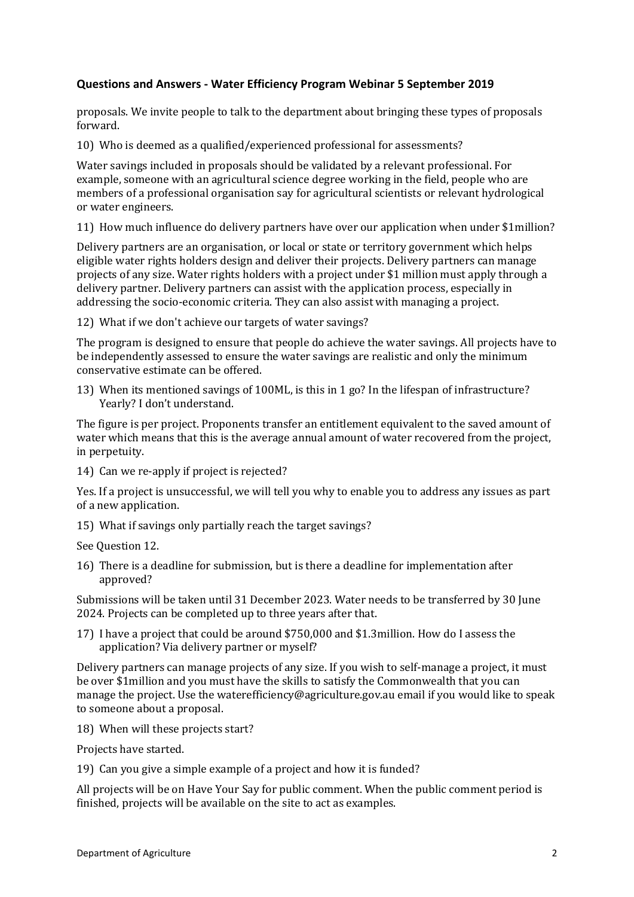proposals. We invite people to talk to the department about bringing these types of proposals forward.

10) Who is deemed as a qualified/experienced professional for assessments?

Water savings included in proposals should be validated by a relevant professional. For example, someone with an agricultural science degree working in the field, people who are members of a professional organisation say for agricultural scientists or relevant hydrological or water engineers.

11) How much influence do delivery partners have over our application when under \$1million?

Delivery partners are an organisation, or local or state or territory government which helps eligible water rights holders design and deliver their projects. Delivery partners can manage projects of any size. Water rights holders with a project under \$1 million must apply through a delivery partner. Delivery partners can assist with the application process, especially in addressing the socio-economic criteria. They can also assist with managing a project.

12) What if we don't achieve our targets of water savings?

The program is designed to ensure that people do achieve the water savings. All projects have to be independently assessed to ensure the water savings are realistic and only the minimum conservative estimate can be offered.

13) When its mentioned savings of 100ML, is this in 1 go? In the lifespan of infrastructure? Yearly? I don't understand.

The figure is per project. Proponents transfer an entitlement equivalent to the saved amount of water which means that this is the average annual amount of water recovered from the project, in perpetuity.

14) Can we re-apply if project is rejected?

Yes. If a project is unsuccessful, we will tell you why to enable you to address any issues as part of a new application.

15) What if savings only partially reach the target savings?

See Question 12.

16) There is a deadline for submission, but is there a deadline for implementation after approved?

Submissions will be taken until 31 December 2023. Water needs to be transferred by 30 June 2024. Projects can be completed up to three years after that.

17) I have a project that could be around \$750,000 and \$1.3million. How do I assess the application? Via delivery partner or myself?

Delivery partners can manage projects of any size. If you wish to self-manage a project, it must be over \$1million and you must have the skills to satisfy the Commonwealth that you can manage the project. Use the [waterefficiency@agriculture.gov.au](mailto:waterefficiency@agriculture.gov.au) email if you would like to speak to someone about a proposal.

18) When will these projects start?

Projects have started.

19) Can you give a simple example of a project and how it is funded?

All projects will be on Have Your Say for public comment. When the public comment period is finished, projects will be available on the site to act as examples.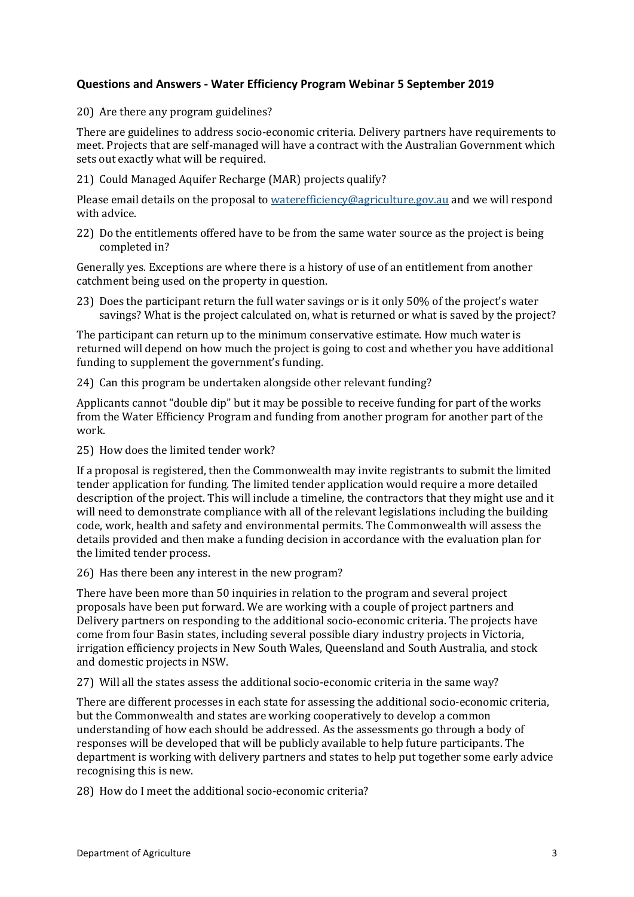20) Are there any program guidelines?

There are guidelines to address socio-economic criteria. Delivery partners have requirements to meet. Projects that are self-managed will have a contract with the Australian Government which sets out exactly what will be required.

21) Could Managed Aquifer Recharge (MAR) projects qualify?

Please email details on the proposal t[o waterefficiency@agriculture.gov.au](mailto:waterefficiency@agriculture.gov.au) and we will respond with advice.

22) Do the entitlements offered have to be from the same water source as the project is being completed in?

Generally yes. Exceptions are where there is a history of use of an entitlement from another catchment being used on the property in question.

23) Does the participant return the full water savings or is it only 50% of the project's water savings? What is the project calculated on, what is returned or what is saved by the project?

The participant can return up to the minimum conservative estimate. How much water is returned will depend on how much the project is going to cost and whether you have additional funding to supplement the government's funding.

24) Can this program be undertaken alongside other relevant funding?

Applicants cannot "double dip" but it may be possible to receive funding for part of the works from the Water Efficiency Program and funding from another program for another part of the work.

25) How does the limited tender work?

If a proposal is registered, then the Commonwealth may invite registrants to submit the limited tender application for funding. The limited tender application would require a more detailed description of the project. This will include a timeline, the contractors that they might use and it will need to demonstrate compliance with all of the relevant legislations including the building code, work, health and safety and environmental permits. The Commonwealth will assess the details provided and then make a funding decision in accordance with the evaluation plan for the limited tender process.

26) Has there been any interest in the new program?

There have been more than 50 inquiries in relation to the program and several project proposals have been put forward. We are working with a couple of project partners and Delivery partners on responding to the additional socio-economic criteria. The projects have come from four Basin states, including several possible diary industry projects in Victoria, irrigation efficiency projects in New South Wales, Queensland and South Australia, and stock and domestic projects in NSW.

27) Will all the states assess the additional socio-economic criteria in the same way?

There are different processes in each state for assessing the additional socio-economic criteria, but the Commonwealth and states are working cooperatively to develop a common understanding of how each should be addressed. As the assessments go through a body of responses will be developed that will be publicly available to help future participants. The department is working with delivery partners and states to help put together some early advice recognising this is new.

28) How do I meet the additional socio-economic criteria?